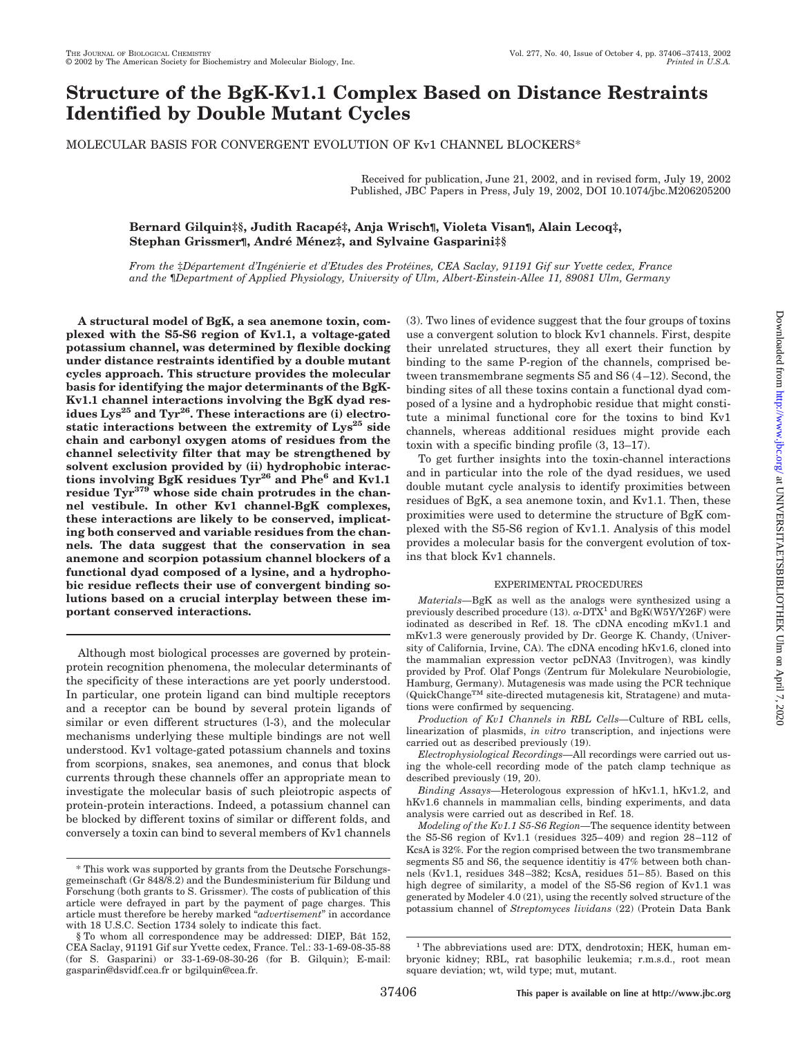# **Structure of the BgK-Kv1.1 Complex Based on Distance Restraints Identified by Double Mutant Cycles**

MOLECULAR BASIS FOR CONVERGENT EVOLUTION OF Kv1 CHANNEL BLOCKERS\*

Received for publication, June 21, 2002, and in revised form, July 19, 2002 Published, JBC Papers in Press, July 19, 2002, DOI 10.1074/jbc.M206205200

### **Bernard Gilquin‡§, Judith Racape´‡, Anja Wrisch¶, Violeta Visan¶, Alain Lecoq‡, Stephan Grissmer¶, Andre´ Me´nez‡, and Sylvaine Gasparini‡§**

*From the* ‡*De´partement d'Inge´nierie et d'Etudes des Prote´ines, CEA Saclay, 91191 Gif sur Yvette cedex, France and the* ¶*Department of Applied Physiology, University of Ulm, Albert-Einstein-Allee 11, 89081 Ulm, Germany*

**A structural model of BgK, a sea anemone toxin, complexed with the S5-S6 region of Kv1.1, a voltage-gated potassium channel, was determined by flexible docking under distance restraints identified by a double mutant cycles approach. This structure provides the molecular basis for identifying the major determinants of the BgK-Kv1.1 channel interactions involving the BgK dyad res**idues Lys<sup>25</sup> and Tyr<sup>26</sup>. These interactions are (i) electrostatic interactions between the extremity of Lys<sup>25</sup> side **chain and carbonyl oxygen atoms of residues from the channel selectivity filter that may be strengthened by solvent exclusion provided by (ii) hydrophobic interactions involving BgK residues Tyr26 and Phe6 and Kv1.1 residue Tyr379 whose side chain protrudes in the channel vestibule. In other Kv1 channel-BgK complexes, these interactions are likely to be conserved, implicating both conserved and variable residues from the channels. The data suggest that the conservation in sea anemone and scorpion potassium channel blockers of a functional dyad composed of a lysine, and a hydrophobic residue reflects their use of convergent binding solutions based on a crucial interplay between these important conserved interactions.**

Although most biological processes are governed by proteinprotein recognition phenomena, the molecular determinants of the specificity of these interactions are yet poorly understood. In particular, one protein ligand can bind multiple receptors and a receptor can be bound by several protein ligands of similar or even different structures (l-3), and the molecular mechanisms underlying these multiple bindings are not well understood. Kv1 voltage-gated potassium channels and toxins from scorpions, snakes, sea anemones, and conus that block currents through these channels offer an appropriate mean to investigate the molecular basis of such pleiotropic aspects of protein-protein interactions. Indeed, a potassium channel can be blocked by different toxins of similar or different folds, and conversely a toxin can bind to several members of Kv1 channels

(3). Two lines of evidence suggest that the four groups of toxins use a convergent solution to block Kv1 channels. First, despite their unrelated structures, they all exert their function by binding to the same P-region of the channels, comprised between transmembrane segments S5 and S6 (4–12). Second, the binding sites of all these toxins contain a functional dyad composed of a lysine and a hydrophobic residue that might constitute a minimal functional core for the toxins to bind Kv1 channels, whereas additional residues might provide each toxin with a specific binding profile (3, 13–17).

To get further insights into the toxin-channel interactions and in particular into the role of the dyad residues, we used double mutant cycle analysis to identify proximities between residues of BgK, a sea anemone toxin, and Kv1.1. Then, these proximities were used to determine the structure of BgK complexed with the S5-S6 region of Kv1.1. Analysis of this model provides a molecular basis for the convergent evolution of toxins that block Kv1 channels.

#### EXPERIMENTAL PROCEDURES

*Materials—*BgK as well as the analogs were synthesized using a previously described procedure (13).  $\alpha$ -DTX<sup>1</sup> and BgK(W5Y/Y26F) were iodinated as described in Ref. 18. The cDNA encoding mKv1.1 and mKv1.3 were generously provided by Dr. George K. Chandy, (University of California, Irvine, CA). The cDNA encoding hKv1.6, cloned into the mammalian expression vector pcDNA3 (Invitrogen), was kindly provided by Prof. Olaf Pongs (Zentrum für Molekulare Neurobiologie, Hamburg, Germany). Mutagenesis was made using the PCR technique  $\rm (QuickChange^{\rm TM}$  site-directed mutagenesis kit, Stratagene) and mutations were confirmed by sequencing.

*Production of Kv1 Channels in RBL Cells—*Culture of RBL cells, linearization of plasmids, *in vitro* transcription, and injections were carried out as described previously (19).

*Electrophysiological Recordings—*All recordings were carried out using the whole-cell recording mode of the patch clamp technique as described previously (19, 20).

*Binding Assays—*Heterologous expression of hKv1.1, hKv1.2, and hKv1.6 channels in mammalian cells, binding experiments, and data analysis were carried out as described in Ref. 18.

*Modeling of the Kv1.1 S5-S6 Region—*The sequence identity between the S5-S6 region of Kv1.1 (residues 325–409) and region 28–112 of KcsA is 32%*.* For the region comprised between the two transmembrane segments S5 and S6, the sequence identitiy is 47% between both channels (Kv1.1, residues 348–382; KcsA, residues 51–85). Based on this high degree of similarity, a model of the S5-S6 region of Kv1.1 was generated by Modeler 4.0 (21), using the recently solved structure of the potassium channel of *Streptomyces lividans* (22) (Protein Data Bank

<sup>\*</sup> This work was supported by grants from the Deutsche Forschungsgemeinschaft (Gr 848/8.2) and the Bundesministerium für Bildung und Forschung (both grants to S. Grissmer). The costs of publication of this article were defrayed in part by the payment of page charges. This article must therefore be hereby marked "*advertisement*" in accordance with 18 U.S.C. Section 1734 solely to indicate this fact.

<sup>§</sup> To whom all correspondence may be addressed: DIEP, Bât 152, CEA Saclay, 91191 Gif sur Yvette cedex, France. Tel.: 33-1-69-08-35-88 (for S. Gasparini) or 33-1-69-08-30-26 (for B. Gilquin); E-mail: gasparin@dsvidf.cea.fr or bgilquin@cea.fr.

<sup>&</sup>lt;sup>1</sup> The abbreviations used are: DTX, dendrotoxin; HEK, human embryonic kidney; RBL, rat basophilic leukemia; r.m.s.d., root mean square deviation; wt, wild type; mut, mutant.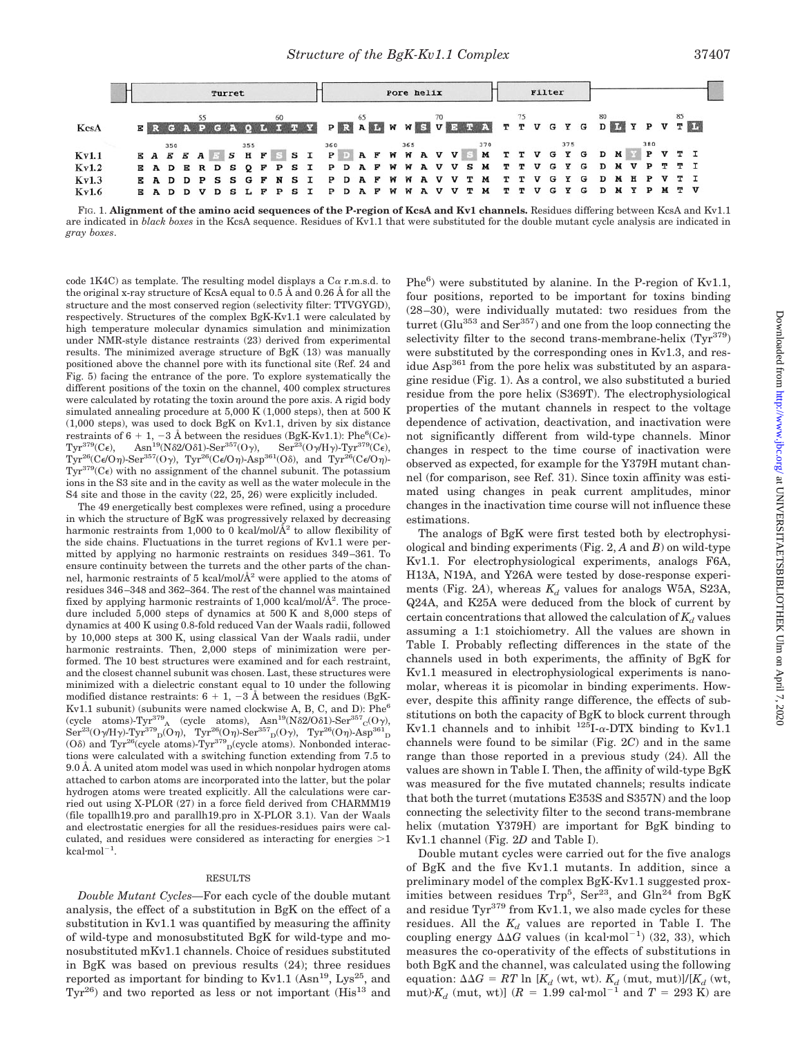|              | Turret |  |  |  |  | Pore helix |  |  |  |  |    |  |  |  |  | Filter |  |  |                                                                         |  |  |  |  |  |  |  |  |  |  |  |  |                                         |
|--------------|--------|--|--|--|--|------------|--|--|--|--|----|--|--|--|--|--------|--|--|-------------------------------------------------------------------------|--|--|--|--|--|--|--|--|--|--|--|--|-----------------------------------------|
| KcsA         |        |  |  |  |  |            |  |  |  |  | 65 |  |  |  |  |        |  |  |                                                                         |  |  |  |  |  |  |  |  |  |  |  |  | ERGAPGAQLITY PRAL WWSVETA TTVGYGDIYPVTL |
|              |        |  |  |  |  |            |  |  |  |  |    |  |  |  |  |        |  |  |                                                                         |  |  |  |  |  |  |  |  |  |  |  |  |                                         |
| <b>Kv1.1</b> |        |  |  |  |  |            |  |  |  |  |    |  |  |  |  |        |  |  |                                                                         |  |  |  |  |  |  |  |  |  |  |  |  |                                         |
| Kv1.2        |        |  |  |  |  |            |  |  |  |  |    |  |  |  |  |        |  |  | E A D E R D S Q F P S I P D A F W W A V V S M T T V G Y G D M V P T T I |  |  |  |  |  |  |  |  |  |  |  |  |                                         |
| Kv1.3        |        |  |  |  |  |            |  |  |  |  |    |  |  |  |  |        |  |  | E A D D P S S G F N S I P D A F W W A V V T M T T V G Y G D M H P V T I |  |  |  |  |  |  |  |  |  |  |  |  |                                         |
| Kv1.6        |        |  |  |  |  |            |  |  |  |  |    |  |  |  |  |        |  |  | E A D D V D S L F P S I P D A F W W A V V T M T T V G Y G D M Y P M T V |  |  |  |  |  |  |  |  |  |  |  |  |                                         |

FIG. 1. **Alignment of the amino acid sequences of the P-region of KcsA and Kv1 channels.** Residues differing between KcsA and Kv1.1 are indicated in *black boxes* in the KcsA sequence. Residues of Kv1.1 that were substituted for the double mutant cycle analysis are indicated in *gray boxes*.

code 1K4C) as template. The resulting model displays a  $C\alpha$  r.m.s.d. to the original x-ray structure of KcsA equal to 0.5 Å and 0.26 Å for all the structure and the most conserved region (selectivity filter: TTVGYGD), respectively. Structures of the complex BgK-Kv1.1 were calculated by high temperature molecular dynamics simulation and minimization under NMR-style distance restraints (23) derived from experimental results. The minimized average structure of BgK (13) was manually positioned above the channel pore with its functional site (Ref. 24 and Fig. 5) facing the entrance of the pore. To explore systematically the different positions of the toxin on the channel, 400 complex structures were calculated by rotating the toxin around the pore axis. A rigid body simulated annealing procedure at 5,000 K (1,000 steps), then at 500 K (1,000 steps), was used to dock BgK on Kv1.1, driven by six distance restraints of 6 + 1, -3 Å between the residues (BgK-Kv1.1): Phe<sup>6</sup>(C $\epsilon$ )- $\rm Tyr^{379}(C_{\epsilon}),$  $\text{Asn}^{19}(\text{N} \delta \text{2}/\text{O} \delta \text{1})\text{-}\text{Ser}^{357}(\text{O}\gamma),$  $\text{Ser}^{23}(\text{O}\gamma/\text{H}\gamma)$ -Tyr<sup>379</sup>(C $\epsilon$ ), Tyr<sup>26</sup>(C $\epsilon$ /O $\eta$ )-Ser<sup>357</sup>(O $\gamma$ ), Tyr<sup>26</sup>(C $\epsilon$ /O $\eta$ )-Asp<sup>361</sup>(O $\delta$ ), and Tyr<sup>26</sup>(C $\epsilon$ /O $\eta$ )- $Tyr^{379}(C_{\epsilon})$  with no assignment of the channel subunit. The potassium ions in the S3 site and in the cavity as well as the water molecule in the S4 site and those in the cavity (22, 25, 26) were explicitly included.

The 49 energetically best complexes were refined, using a procedure in which the structure of BgK was progressively relaxed by decreasing harmonic restraints from 1,000 to 0 kcal/mol/ $\AA$ <sup>2</sup> to allow flexibility of the side chains. Fluctuations in the turret regions of Kv1.1 were permitted by applying no harmonic restraints on residues 349–361. To ensure continuity between the turrets and the other parts of the channel, harmonic restraints of 5 kcal/mol/ $\AA^2$  were applied to the atoms of residues 346–348 and 362–364. The rest of the channel was maintained fixed by applying harmonic restraints of 1,000 kcal/mol/Å<sup>2</sup>. The procedure included 5,000 steps of dynamics at 500 K and 8,000 steps of dynamics at 400 K using 0.8-fold reduced Van der Waals radii, followed by 10,000 steps at 300 K, using classical Van der Waals radii, under harmonic restraints. Then, 2,000 steps of minimization were performed. The 10 best structures were examined and for each restraint, and the closest channel subunit was chosen. Last, these structures were minimized with a dielectric constant equal to 10 under the following modified distance restraints:  $6 + 1$ ,  $-3$  Å between the residues (BgK-Kv1.1 subunit) (subunits were named clockwise A, B, C, and D): Phe<sup>6</sup> (cycle atoms)-Tyr<sup>379</sup><sub>A</sub> (cycle atoms), Asn<sup>19</sup>(N $\delta$ 2/O $\delta$ 1)-Ser<sup>357</sup><sub>C</sub>(O $\gamma$ ),  $\mathrm{Ser}^{23}(\mathrm{O}\gamma/\mathrm{H}\gamma)\text{-}\mathrm{Typ}^{379}\mathrm{D}(\mathrm{O}\eta)$ , Tyr<sup>26</sup>(O $\eta$ )- $\mathrm{Ser}^{357}\mathrm{D}(\mathrm{O}\gamma)$ , Tyr<sup>26</sup>(O $\eta$ )- $\mathrm{Asp}^{361}\mathrm{D}$ (O<sub>δ</sub>) and Tyr<sup>26</sup>(cycle atoms)-Tyr<sup>379</sup><sub>D</sub>(cycle atoms). Nonbonded interactions were calculated with a switching function extending from 7.5 to 9.0 Å. A united atom model was used in which nonpolar hydrogen atoms attached to carbon atoms are incorporated into the latter, but the polar hydrogen atoms were treated explicitly. All the calculations were carried out using X-PLOR (27) in a force field derived from CHARMM19 (file topallh19.pro and parallh19.pro in X-PLOR 3.1). Van der Waals and electrostatic energies for all the residues-residues pairs were calculated, and residues were considered as interacting for energies  $>1$  $kcal/mol^{-1}$ .

#### RESULTS

*Double Mutant Cycles—*For each cycle of the double mutant analysis, the effect of a substitution in BgK on the effect of a substitution in Kv1.1 was quantified by measuring the affinity of wild-type and monosubstituted BgK for wild-type and monosubstituted mKv1.1 channels. Choice of residues substituted in BgK was based on previous results (24); three residues reported as important for binding to  $Kv1.1$  (Asn<sup>19</sup>, Lys<sup>25</sup>, and  $Tyr^{26}$ ) and two reported as less or not important ( $His^{13}$  and

Phe<sup>6</sup>) were substituted by alanine. In the P-region of Kv1.1, four positions, reported to be important for toxins binding (28–30), were individually mutated: two residues from the turret (Glu $^{353}$  and Ser $^{357}$ ) and one from the loop connecting the selectivity filter to the second trans-membrane-helix  $(Tyr^{379})$ were substituted by the corresponding ones in Kv1.3, and residue Asp361 from the pore helix was substituted by an asparagine residue (Fig. 1). As a control, we also substituted a buried residue from the pore helix (S369T). The electrophysiological properties of the mutant channels in respect to the voltage dependence of activation, deactivation, and inactivation were not significantly different from wild-type channels. Minor changes in respect to the time course of inactivation were observed as expected, for example for the Y379H mutant channel (for comparison, see Ref. 31). Since toxin affinity was estimated using changes in peak current amplitudes, minor changes in the inactivation time course will not influence these estimations.

The analogs of BgK were first tested both by electrophysiological and binding experiments (Fig. 2, *A* and *B*) on wild-type Kv1.1. For electrophysiological experiments, analogs F6A, H13A, N19A, and Y26A were tested by dose-response experiments (Fig. 2A), whereas  $K_d$  values for analogs W5A, S23A, Q24A, and K25A were deduced from the block of current by certain concentrations that allowed the calculation of  $K_d$  values assuming a 1:1 stoichiometry. All the values are shown in Table I. Probably reflecting differences in the state of the channels used in both experiments, the affinity of BgK for Kv1.1 measured in electrophysiological experiments is nanomolar, whereas it is picomolar in binding experiments. However, despite this affinity range difference, the effects of substitutions on both the capacity of BgK to block current through Kv1.1 channels and to inhibit  $^{125}I$ - $\alpha$ -DTX binding to Kv1.1 channels were found to be similar (Fig. 2*C*) and in the same range than those reported in a previous study (24). All the values are shown in Table I. Then, the affinity of wild-type BgK was measured for the five mutated channels; results indicate that both the turret (mutations E353S and S357N) and the loop connecting the selectivity filter to the second trans-membrane helix (mutation Y379H) are important for BgK binding to Kv1.1 channel (Fig. 2*D* and Table I).

Double mutant cycles were carried out for the five analogs of BgK and the five Kv1.1 mutants. In addition, since a preliminary model of the complex BgK-Kv1.1 suggested proximities between residues  $\text{Trp}^5$ ,  $\text{Ser}^{23}$ , and  $\text{Gln}^{24}$  from BgK and residue Tyr $379$  from Kv1.1, we also made cycles for these residues. All the  $K_d$  values are reported in Table I. The coupling energy  $\Delta\Delta G$  values (in kcal·mol<sup>-1</sup>) (32, 33), which measures the co-operativity of the effects of substitutions in both BgK and the channel, was calculated using the following equation:  $\Delta \Delta G = RT \ln[K_d \text{ (wt, wt)}]$ . *K<sub>d</sub>* (mut, mut)]/*[K<sub>d</sub>* (wt, mut)· $K_d$  (mut, wt)] ( $R = 1.99$  cal·mol<sup>-1</sup> and  $T = 293$  K) are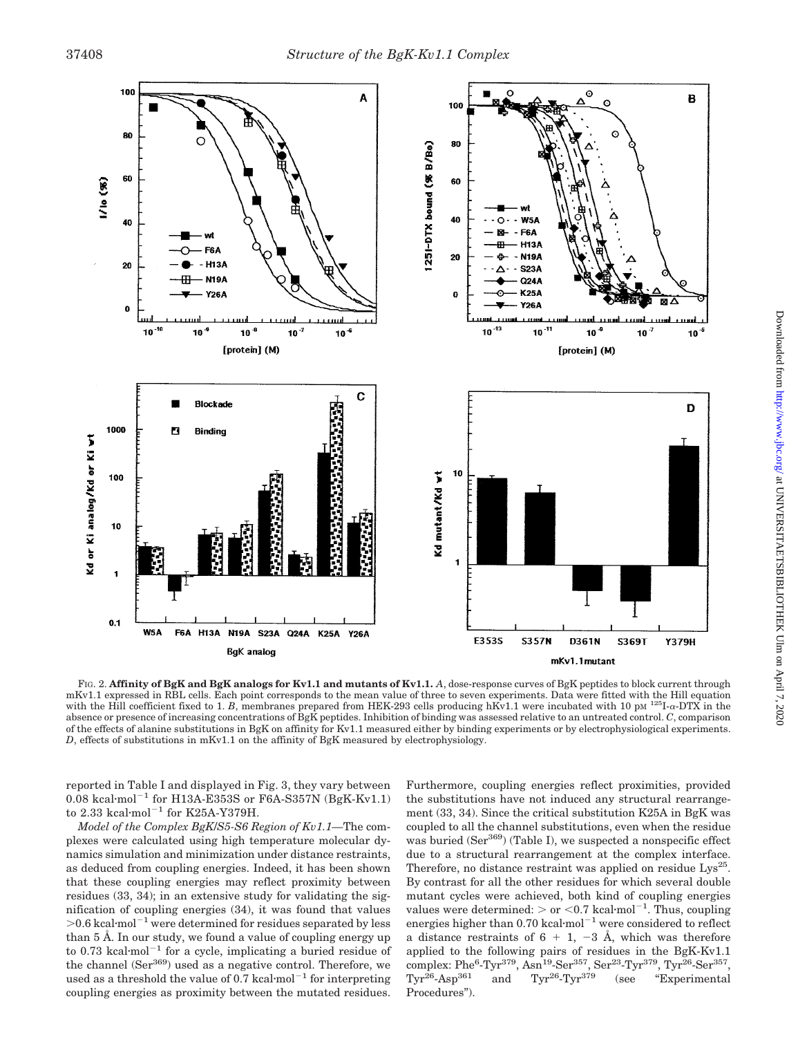

FIG. 2. **Affinity of BgK and BgK analogs for Kv1.1 and mutants of Kv1.1.** *A*, dose-response curves of BgK peptides to block current through mKv1.1 expressed in RBL cells. Each point corresponds to the mean value of three to seven experiments. Data were fitted with the Hill equation with the Hill coefficient fixed to 1. *B*, membranes prepared from HEK-293 cells producing hKv1.1 were incubated with 10 pM  $^{125}I$ - $\alpha$ -DTX in the absence or presence of increasing concentrations of BgK peptides. Inhibition of binding was assessed relative to an untreated control. *C*, comparison of the effects of alanine substitutions in BgK on affinity for Kv1.1 measured either by binding experiments or by electrophysiological experiments. *D*, effects of substitutions in mKv1.1 on the affinity of BgK measured by electrophysiology.

reported in Table I and displayed in Fig. 3, they vary between  $0.08 \text{ kcal·mol}^{-1}$  for H13A-E353S or F6A-S357N (BgK-Kv1.1) to  $2.33 \text{ kcal·mol}^{-1}$  for K25A-Y379H.

*Model of the Complex BgK*/*S5-S6 Region of Kv1.1—*The complexes were calculated using high temperature molecular dynamics simulation and minimization under distance restraints, as deduced from coupling energies. Indeed, it has been shown that these coupling energies may reflect proximity between residues (33, 34); in an extensive study for validating the signification of coupling energies (34), it was found that values  $> 0.6$  kcal·mol<sup>-1</sup> were determined for residues separated by less than 5 Å. In our study, we found a value of coupling energy up to 0.73 kcal·mol<sup> $-1$ </sup> for a cycle, implicating a buried residue of the channel  $(Ser<sup>369</sup>)$  used as a negative control. Therefore, we used as a threshold the value of  $0.7 \text{ kcal·mol}^{-1}$  for interpreting coupling energies as proximity between the mutated residues. Furthermore, coupling energies reflect proximities, provided the substitutions have not induced any structural rearrangement (33, 34). Since the critical substitution K25A in BgK was coupled to all the channel substitutions, even when the residue was buried  $(Ser<sup>369</sup>)$  (Table I), we suspected a nonspecific effect due to a structural rearrangement at the complex interface. Therefore, no distance restraint was applied on residue  $Lys^{25}$ . By contrast for all the other residues for which several double mutant cycles were achieved, both kind of coupling energies values were determined:  $>$  or  $<$  0.7 kcal·mol<sup>-1</sup>. Thus, coupling energies higher than  $0.70$  kcal·mol<sup>-1</sup> were considered to reflect a distance restraints of  $6 + 1$ ,  $-3$  Å, which was therefore applied to the following pairs of residues in the BgK-Kv1.1  $\text{complex:}\ \text{Phe}^6\text{-}\text{Tyr}^{379}, \text{Asn}^{19}\text{-}\text{Ser}^{357}, \text{Ser}^{23}\text{-}\text{Tyr}^{379}, \text{Tyr}^{\bar{26}}\text{-}\text{Ser}^{357},$  $Tyr^{26}$ -Asp<sup>361</sup> and  $Tyr^{26}$ -Tyr<sup>379</sup> (see "Experimental Procedures").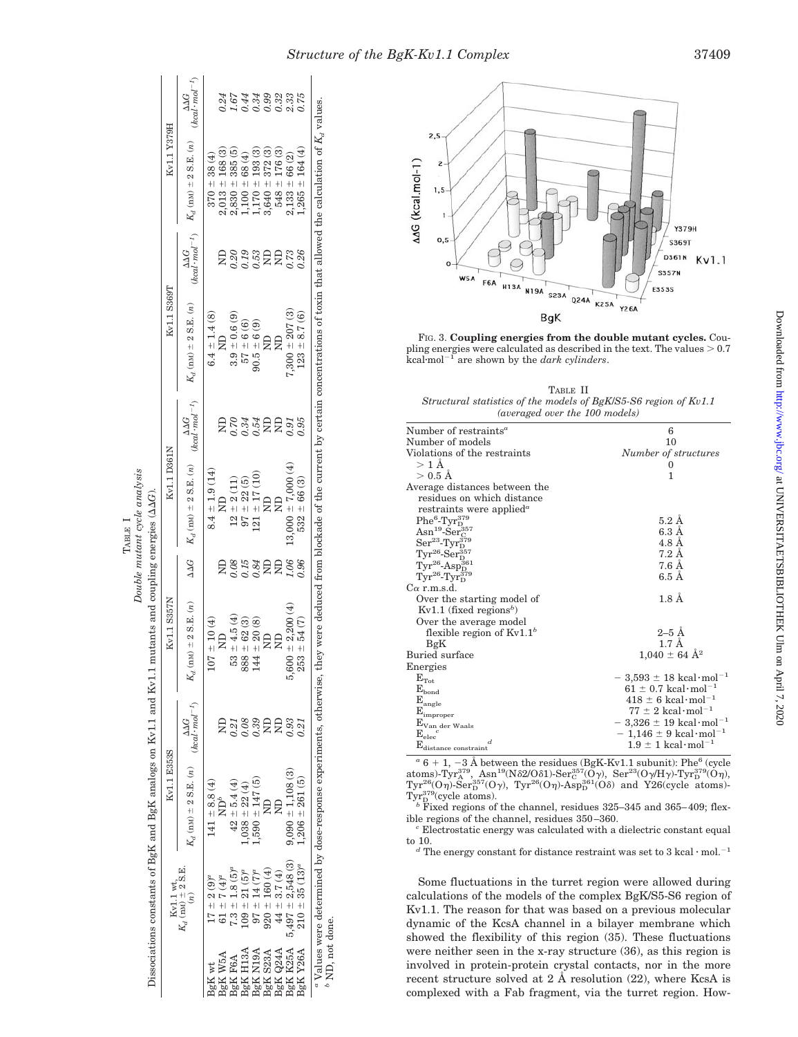|                          |                                                    | Kv1.1 E353S                                                               |                      | Kv1.1 S357N                                                                                                                                                                                      |                  | Kv1.1 D361N                   |                                             | Kv1.1 S369T                   |        | Kv1.1 Y379H                                                                                                                                                                                                                                  |                                                 |
|--------------------------|----------------------------------------------------|---------------------------------------------------------------------------|----------------------|--------------------------------------------------------------------------------------------------------------------------------------------------------------------------------------------------|------------------|-------------------------------|---------------------------------------------|-------------------------------|--------|----------------------------------------------------------------------------------------------------------------------------------------------------------------------------------------------------------------------------------------------|-------------------------------------------------|
|                          | $K_d$ (nM) $\pm$ 2 S.E.<br>$K_d$ (nM) $\pm$ 2 S.E. | $K_d$ (nM) $\pm$ 2 S.E. (n) $\frac{\Delta\Delta G}{(kcal\cdot mol^{-1})}$ |                      | $K_d$ (nM) $\pm$ 2 S.E. $(n)$                                                                                                                                                                    | $\Delta\Delta G$ | $K_d$ (nM) $\pm$ 2 S.E. $(n)$ | $(kcal \cdot mol^{-1})$<br>$\Delta\Delta G$ | $K_d$ (nM) $\pm$ 2 S.E. $(n)$ |        | $\frac{\Delta \Delta G}{(kcal \cdot mol^{-1})}$ $K_d$ (nM) $\pm$ 2 S.E. (n)                                                                                                                                                                  | $\frac{\Delta \Delta G}{(kcal \cdot mol^{-1})}$ |
| BgK wt                   | $17 \pm 2(9)^a$                                    | $141 \pm 8.8(4)$                                                          |                      | $107 \pm 10$ (4)                                                                                                                                                                                 |                  | $8.4 \pm 1.9(14)$             |                                             | $6.4 \pm 1.4$ (8)             |        | $370 \pm 38(4)$                                                                                                                                                                                                                              |                                                 |
| <b>BgK W5A</b>           | 61 $\pm$ 7 (4) <sup><math>a</math></sup>           | $ND^b$                                                                    |                      | $\Xi$                                                                                                                                                                                            |                  | $\Xi$                         |                                             | $\Xi$                         | ę      |                                                                                                                                                                                                                                              | 0.24                                            |
| F6A<br>3gK               | $1.8(5)^a$<br>$7.3 + 1$                            | $42 \pm 5.4(4)$                                                           |                      | $53 \pm 4.5(4)$                                                                                                                                                                                  | 0.08             | $12 \pm 2(11)$                | 0.70                                        | $3.9 \pm 0.6(9)$              |        |                                                                                                                                                                                                                                              |                                                 |
| 3gK H13A                 | $21(5)^a$<br>$+80$                                 | $1,038 \pm 22(4)$                                                         | 2388<br>0.39<br>0.39 | $888 \pm 62 \ (3)$ $144 \pm 20 \ (8)$                                                                                                                                                            | $0.15$<br>$0.84$ | $97 \pm 22$ $(5)$             | 0.34<br>0.54<br>ND                          | $57 + 6(6)$                   | sessee | $\begin{array}{l} 2,013 \, \pm \, 168 \, (3) \\ 2,830 \, \pm \, 385 \, (5) \\ 1,100 \, \pm \, 68 \, (4) \\ 1,170 \, \pm \, 193 \, (3) \\ 1,170 \, \pm \, 193 \, (3) \\ 3,640 \, \pm \, 372 \, (3) \\ 3,648 \, \pm \, 176 \, (3) \end{array}$ | 5438335<br>5438335                              |
| AGLN N <sub>3</sub> g    | $97 \pm 14$ (7) <sup><math>a</math></sup>          | $1,590 \pm 147$ (5)                                                       |                      |                                                                                                                                                                                                  |                  | $(21 \pm 17)$ (10)            |                                             | $90.5 \pm 6(9)$               |        |                                                                                                                                                                                                                                              |                                                 |
| <b>BgK S23A</b>          | $920 \pm 160 (4)$                                  |                                                                           |                      |                                                                                                                                                                                                  | ₹₹               | £                             |                                             | £                             |        |                                                                                                                                                                                                                                              |                                                 |
| 3gK Q24A                 | $44 \pm 3.7(4)$                                    |                                                                           | $\Xi$                |                                                                                                                                                                                                  |                  | $\Xi$                         | $\Xi$                                       |                               |        |                                                                                                                                                                                                                                              |                                                 |
| BgK K25A                 | $5,497 \pm 2,548(3)$                               | $9,090 \pm 1,108(3)$                                                      | 9.93                 | $00 \pm 2,200$ (4)<br>5,60                                                                                                                                                                       | 1.06             | $13,000 \pm 7,000$ (4)        | 16:0                                        | $7,300 \pm 207$ (3)           | 0.73   |                                                                                                                                                                                                                                              |                                                 |
| 3gKY26A                  | $210 \pm 35 (13)^a$                                | $1,206 \pm 261(5)$                                                        | 0.21                 | $253 \pm 54$ (7)                                                                                                                                                                                 | 9.96             | $532 \pm 66$ (3)              | 0.95                                        | $123 \pm 8.7$ (6)             | 0.26   | ± 164(4)<br>$2,133 \pm 66$ (2)<br>1,265 $\pm$ 164 (4                                                                                                                                                                                         |                                                 |
| $^{\circ}$ ND, not done. |                                                    |                                                                           |                      | "Values were determined by dose-response experiments, otherwise, they were deduced from blockade of the current by certain concentrations of toxin that allowed the calculation of $K_d$ values. |                  |                               |                                             |                               |        |                                                                                                                                                                                                                                              |                                                 |

TABLE I *Double mutant cycle analysis*

Double mutant cycle analysis



FIG. 3. **Coupling energies from the double mutant cycles.** Coupling energies were calculated as described in the text. The values  $> 0.7$ kcalmol-<sup>1</sup> are shown by the *dark cylinders*.

TABLE II *Structural statistics of the models of BgK*/*S5-S6 region of Kv1.1 (averaged over the 100 models)*

| Number of restraints <sup>a</sup>                                                | 6                                                  |
|----------------------------------------------------------------------------------|----------------------------------------------------|
| Number of models                                                                 | 10                                                 |
| Violations of the restraints                                                     | Number of structures                               |
| $>1\,\mathrm{\AA}$                                                               | $\Omega$                                           |
| $> 0.5$ Å                                                                        | 1                                                  |
| Average distances between the                                                    |                                                    |
| residues on which distance                                                       |                                                    |
| restraints were applied <sup><math>a</math></sup>                                |                                                    |
| $Phe^6$ -Tyr $_{\rm D}^{379}$                                                    | $5.2\AA$                                           |
| $\mathrm{Asn^{19}\text{-}Ser^{357}_C}$                                           | $6.3\;$ Å                                          |
|                                                                                  | $4.8\,\mathrm{\AA}$                                |
| $Ser^{23}\text{-Tyr}_{\text{D}}^{379}\text{Tr}^{26}\text{-}Ser^{357}_{\text{D}}$ | 7.2 Å                                              |
| $Tyr^{26}$ -Asp $_{\rm D}^{361}$                                                 | 7.6 Å                                              |
| $\text{Tyr}^{26}\text{-}\text{Tyr}^{379}_{\text{D}}$                             | $6.5\,\mathrm{\AA}$                                |
| $C\alpha$ r.m.s.d.                                                               |                                                    |
| Over the starting model of                                                       | $1.8\ \AA$                                         |
| $Kv1.1$ (fixed regions <sup>b</sup> )                                            |                                                    |
| Over the average model                                                           |                                                    |
| flexible region of $Kv1.1b$                                                      | $2-5$ Å                                            |
| BgK                                                                              | $1.7 \text{ Å}$                                    |
| Buried surface                                                                   | $1,040 \pm 64 \text{ Å}^2$                         |
| Energies                                                                         |                                                    |
| $\rm E_{Tot}$                                                                    | $-3,593 \pm 18 \text{ kcal} \cdot \text{mol}^{-1}$ |
| $\mathbf{E}_{\text{bond}}$                                                       | $61 \pm 0.7$ kcal·mol <sup>-1</sup>                |
| $\mathrm{E}_{\mathrm{angle}}$                                                    | $418 \pm 6$ kcal·mol <sup>-1</sup>                 |
| $\mathbf{E}_{\text{improper}}$                                                   | $77 \pm 2 \text{ kcal} \cdot \text{mol}^{-1}$      |
|                                                                                  | $-3,326 \pm 19 \text{ kcal} \cdot \text{mol}^{-1}$ |
| $\mathrm{E_{Van\ der\ Waals}}$<br>$\mathrm{E}_{\mathrm{elec}}$                   | $-1,146 \pm 9 \text{ kcal} \cdot \text{mol}^{-1}$  |
| d.<br>$\mathrm{E}_{\mathrm{distance~constraint}}$                                | $1.9 \pm 1 \text{ kcal} \cdot \text{mol}^{-1}$     |
|                                                                                  |                                                    |

 $a^a$  6 + 1, -3 Å between the residues (BgK-Kv1.1 subunit): Phe<sup>6</sup> (cycle atoms)-Tyr<sup>379</sup>, Asn<sup>19</sup>(N $\delta$ 2/O $\delta$ 1)-Ser<sup>357</sup>(O $\gamma$ ), Ser<sup>23</sup>(O $\gamma$ /H $\gamma$ )-Tyr<sup>379</sup>(O $\eta$ ),  $\text{Tryr}^{26}(\text{O}\eta)$ -Ser $^{357}_{\text{D}}(\text{O}\gamma)$ ,  $\text{Tyr}^{26}(\text{O}\eta)$ -Asp $^{361}_{\text{D}}(\text{O}\delta)$  and Y26(cycle atoms)-

Tyr<sup>379</sup>(cycle atoms).<br><sup>*b*</sup> Fixed regions of the channel, residues 325–345 and 365–409; flex-

 $^{\circ}$  Electrostatic energy was calculated with a dielectric constant equal to 10.

to 10.<br>*d* The energy constant for distance restraint was set to 3 kcal  $\cdot$  mol.<sup>-1</sup>

Some fluctuations in the turret region were allowed during calculations of the models of the complex BgK/S5-S6 region of Kv1.1. The reason for that was based on a previous molecular dynamic of the KcsA channel in a bilayer membrane which showed the flexibility of this region (35). These fluctuations were neither seen in the x-ray structure (36), as this region is involved in protein-protein crystal contacts, nor in the more recent structure solved at 2 Å resolution  $(22)$ , where KcsA is complexed with a Fab fragment, via the turret region. How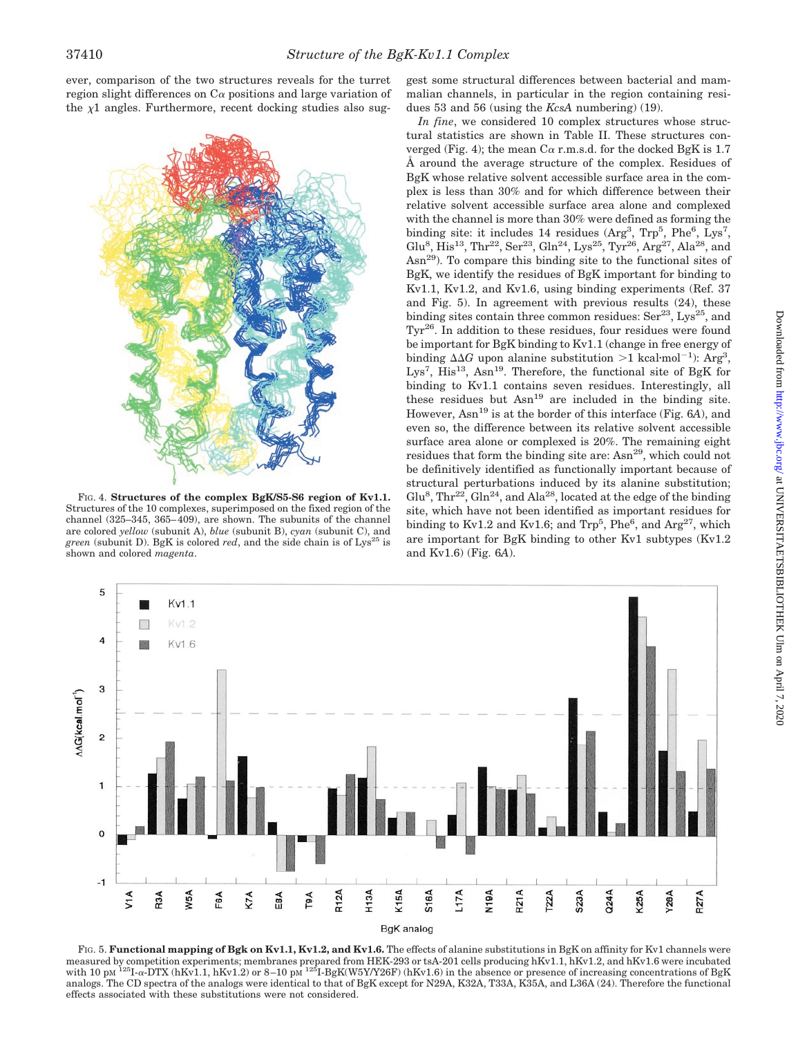ever, comparison of the two structures reveals for the turret region slight differences on  $C\alpha$  positions and large variation of the  $x1$  angles. Furthermore, recent docking studies also sug-



FIG. 4. **Structures of the complex BgK/S5-S6 region of Kv1.1.** Structures of the 10 complexes, superimposed on the fixed region of the channel (325–345, 365–409), are shown. The subunits of the channel are colored *yellow* (subunit A), *blue* (subunit B), *cyan* (subunit C), and *green* (subunit D). BgK is colored *red*, and the side chain is of  $Lys^{25}$  is shown and colored *magenta*.

gest some structural differences between bacterial and mammalian channels, in particular in the region containing residues 53 and 56 (using the *KcsA* numbering) (19).

*In fine*, we considered 10 complex structures whose structural statistics are shown in Table II. These structures converged (Fig. 4); the mean  $C\alpha$  r.m.s.d. for the docked BgK is 1.7 Å around the average structure of the complex. Residues of BgK whose relative solvent accessible surface area in the complex is less than 30% and for which difference between their relative solvent accessible surface area alone and complexed with the channel is more than 30% were defined as forming the binding site: it includes 14 residues  $(\text{Arg}^3, \text{Trp}^5, \text{Phe}^6, \text{Lys}^7,$ Glu<sup>8</sup>, His<sup>13</sup>, Thr<sup>22</sup>, Ser<sup>23</sup>, Gln<sup>24</sup>, Lys<sup>25</sup>, Tyr<sup>26</sup>, Arg<sup>27</sup>, Ala<sup>28</sup>, and Asn29). To compare this binding site to the functional sites of BgK, we identify the residues of BgK important for binding to Kv1.1, Kv1.2, and Kv1.6, using binding experiments (Ref. 37 and Fig. 5). In agreement with previous results (24), these binding sites contain three common residues:  $\text{Ser}^{23}$ , Lys<sup>25</sup>, and  $Tyr^{26}$ . In addition to these residues, four residues were found be important for BgK binding to Kv1.1 (change in free energy of binding  $\Delta\Delta G$  upon alanine substitution >1 kcal·mol<sup>-1</sup>): Arg<sup>3</sup>, Lys<sup>7</sup>, His<sup>13</sup>, Asn<sup>19</sup>. Therefore, the functional site of BgK for binding to Kv1.1 contains seven residues. Interestingly, all these residues but  $Asn^{19}$  are included in the binding site. However, Asn19 is at the border of this interface (Fig. 6*A*), and even so, the difference between its relative solvent accessible surface area alone or complexed is 20%. The remaining eight residues that form the binding site are: Asn<sup>29</sup>, which could not be definitively identified as functionally important because of structural perturbations induced by its alanine substitution; Glu<sup>8</sup>, Thr<sup>22</sup>, Gln<sup>24</sup>, and Ala<sup>28</sup>, located at the edge of the binding site, which have not been identified as important residues for binding to Kv1.2 and Kv1.6; and Trp<sup>5</sup>, Phe<sup>6</sup>, and Arg<sup>27</sup>, which are important for BgK binding to other Kv1 subtypes (Kv1.2 and Kv1.6) (Fig. 6*A*).



FIG. 5. **Functional mapping of Bgk on Kv1.1, Kv1.2, and Kv1.6.** The effects of alanine substitutions in BgK on affinity for Kv1 channels were measured by competition experiments; membranes prepared from HEK-293 or tsA-201 cells producing hKv1.1, hKv1.2, and hKv1.6 were incubated with 10 pm  $^{125}I$ - $\alpha$ -DTX (hKv1.1, hKv1.2) or 8–10 pm  $^{125}I$ -BgK(W5Y/Y26F) (hKv1.6) in the absence or presence of increasing concentrations of BgK analogs. The CD spectra of the analogs were identical to that of BgK except for N29A, K32A, T33A, K35A, and L36A (24). Therefore the functional effects associated with these substitutions were not considered.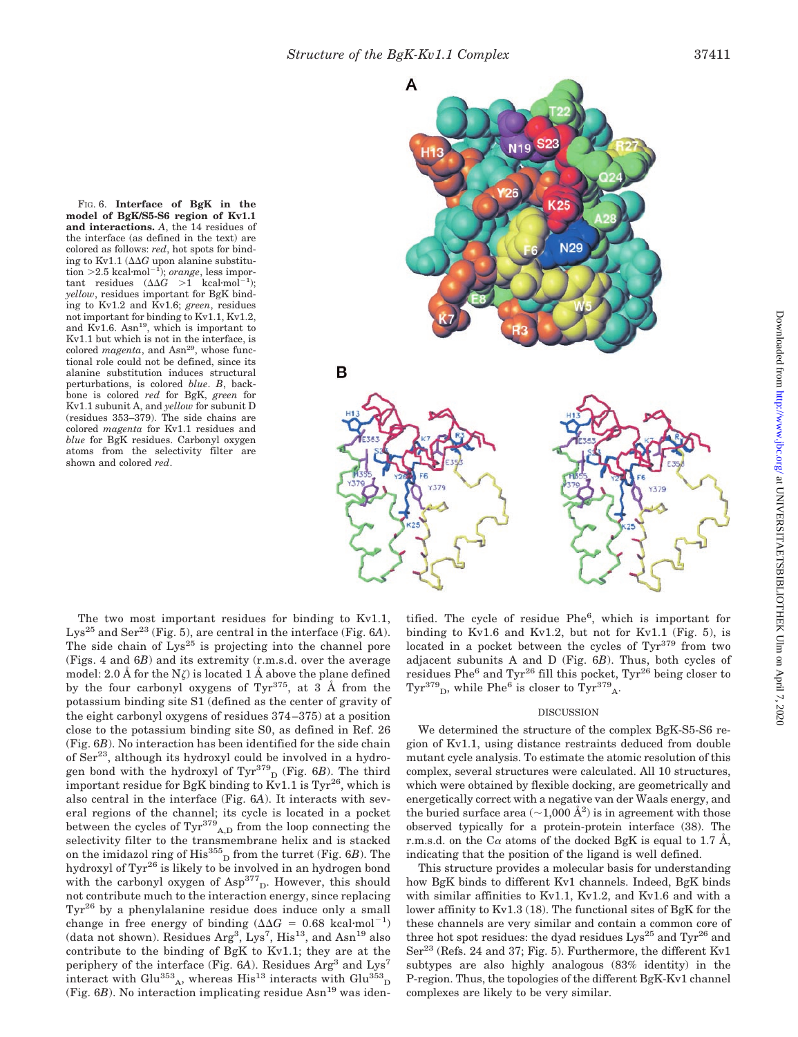FIG. 6. **Interface of BgK in the model of BgK/S5-S6 region of Kv1.1 and interactions.** *A*, the 14 residues of the interface (as defined in the text) are colored as follows: *red*, hot spots for binding to Kv1.1  $(\Delta \Delta G)$  upon alanine substitution >2.5 kcal·mol<sup>-1</sup>); *orange*, less important residues  $(\Delta \Delta G > 1 \text{ kcal·mol}^{-1});$ *yellow*, residues important for BgK binding to Kv1.2 and Kv1.6; *green*, residues not important for binding to Kv1.1, Kv1.2, and Kv1.6. Asn<sup>19</sup>, which is important to Kv1.1 but which is not in the interface, is colored *magenta*, and Asn<sup>29</sup>, whose functional role could not be defined, since its alanine substitution induces structural perturbations, is colored *blue*. *B*, backbone is colored *red* for BgK, *green* for Kv1.1 subunit A, and *yellow* for subunit D (residues 353–379). The side chains are colored *magenta* for Kv1.1 residues and *blue* for BgK residues. Carbonyl oxygen atoms from the selectivity filter are shown and colored *red*.



The two most important residues for binding to Kv1.1, Lys<sup>25</sup> and Ser<sup>23</sup> (Fig. 5), are central in the interface (Fig.  $6A$ ). The side chain of  $Lys^{25}$  is projecting into the channel pore (Figs. 4 and 6*B*) and its extremity (r.m.s.d. over the average model: 2.0 Å for the  $N\zeta$  is located 1 Å above the plane defined by the four carbonyl oxygens of  $Tvr^{375}$ , at 3 Å from the potassium binding site S1 (defined as the center of gravity of the eight carbonyl oxygens of residues 374–375) at a position close to the potassium binding site S0, as defined in Ref. 26 (Fig. 6*B*). No interaction has been identified for the side chain of  $\text{Ser}^{23}$ , although its hydroxyl could be involved in a hydrogen bond with the hydroxyl of Tyr<sup>379</sup> <sup>D</sup> (Fig. 6*B*). The third important residue for BgK binding to Kv1.1 is  $\text{Tyr}^{26}$ , which is also central in the interface (Fig. 6*A*). It interacts with several regions of the channel; its cycle is located in a pocket between the cycles of  $\text{Tyr}^{379}$ <sub>A,D</sub> from the loop connecting the selectivity filter to the transmembrane helix and is stacked on the imidazol ring of His<sup>355</sup><sub>D</sub> from the turret (Fig. 6*B*). The hydroxyl of Tyr<sup>26</sup> is likely to be involved in an hydrogen bond with the carbonyl oxygen of Asp<sup>377</sup> D. However, this should not contribute much to the interaction energy, since replacing Tyr<sup>26</sup> by a phenylalanine residue does induce only a small change in free energy of binding  $(\Delta\Delta G = 0.68 \text{ kcal} \cdot \text{mol}^{-1})$ (data not shown). Residues  $Arg^3$ , Lys<sup>7</sup>, His<sup>13</sup>, and Asn<sup>19</sup> also contribute to the binding of BgK to Kv1.1; they are at the periphery of the interface (Fig. 6A). Residues Arg<sup>3</sup> and Lys<sup>7</sup> interact with Glu<sup>353</sup><sub>A</sub>, whereas His<sup>13</sup> interacts with Glu<sup>353</sup><sub>D</sub> (Fig.  $6B$ ). No interaction implicating residue  $\text{Asn}^{19}$  was iden-

tified. The cycle of residue Phe<sup>6</sup>, which is important for binding to Kv1.6 and Kv1.2, but not for Kv1.1 (Fig. 5), is located in a pocket between the cycles of  $\text{Tr}^{379}$  from two adjacent subunits A and D (Fig. 6*B*). Thus, both cycles of residues Phe<sup>6</sup> and Tyr<sup>26</sup> fill this pocket, Tyr<sup>26</sup> being closer to  $\mathrm{Tyr^{379}}_{\mathrm{D}},$  while Phe $^6$  is closer to  $\mathrm{Tyr^{379}}_{\mathrm{A}}.$ 

#### DISCUSSION

We determined the structure of the complex BgK-S5-S6 region of Kv1.1, using distance restraints deduced from double mutant cycle analysis. To estimate the atomic resolution of this complex, several structures were calculated. All 10 structures, which were obtained by flexible docking, are geometrically and energetically correct with a negative van der Waals energy, and the buried surface area  $(\sim 1,000 \text{ Å}^2)$  is in agreement with those observed typically for a protein-protein interface (38). The r.m.s.d. on the C $\alpha$  atoms of the docked BgK is equal to 1.7 Å, indicating that the position of the ligand is well defined.

This structure provides a molecular basis for understanding how BgK binds to different Kv1 channels. Indeed, BgK binds with similar affinities to Kv1.1, Kv1.2, and Kv1.6 and with a lower affinity to Kv1.3 (18). The functional sites of BgK for the these channels are very similar and contain a common core of three hot spot residues: the dyad residues  $Lys^{25}$  and  $Tyr^{26}$  and  $\text{Ser}^{23}$  (Refs. 24 and 37; Fig. 5). Furthermore, the different Ky1 subtypes are also highly analogous (83% identity) in the P-region. Thus, the topologies of the different BgK-Kv1 channel complexes are likely to be very similar.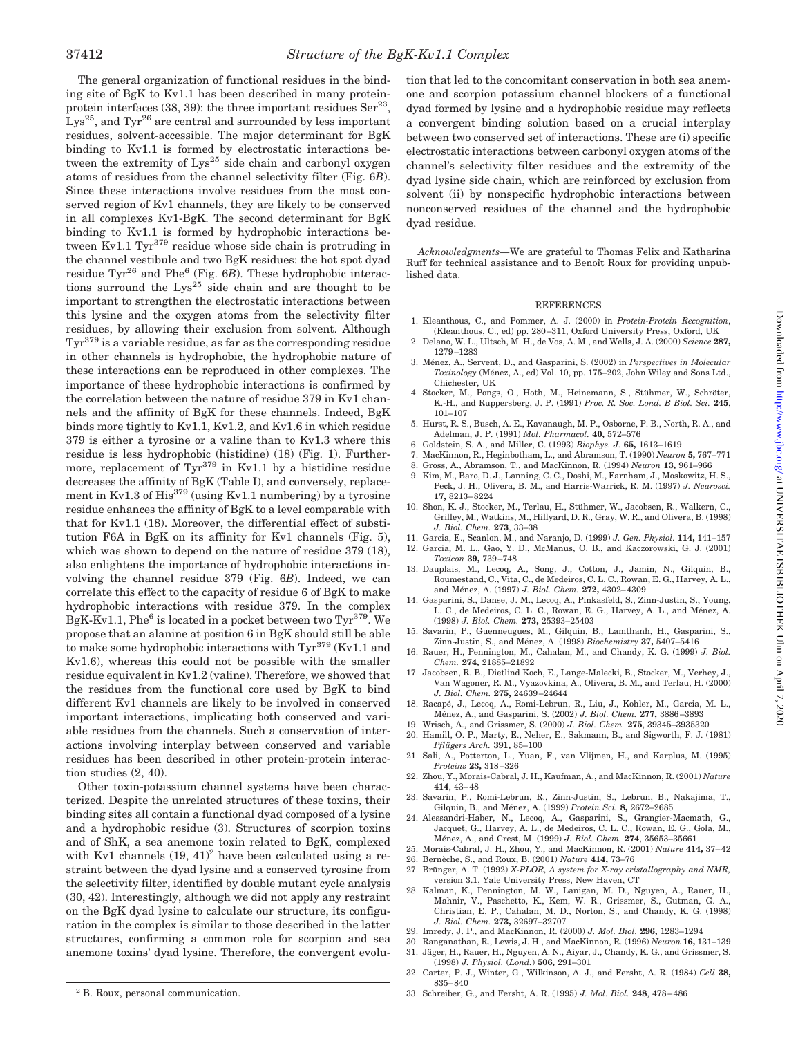The general organization of functional residues in the binding site of BgK to Kv1.1 has been described in many proteinprotein interfaces (38, 39): the three important residues  $\text{Ser}^{23}$ ,  $Lys^{25}$ , and Tyr<sup>26</sup> are central and surrounded by less important residues, solvent-accessible. The major determinant for BgK binding to Kv1.1 is formed by electrostatic interactions between the extremity of Lys<sup>25</sup> side chain and carbonyl oxygen atoms of residues from the channel selectivity filter (Fig. 6*B*). Since these interactions involve residues from the most conserved region of Kv1 channels, they are likely to be conserved in all complexes Kv1-BgK. The second determinant for BgK binding to Kv1.1 is formed by hydrophobic interactions between Kv1.1 Tyr<sup>379</sup> residue whose side chain is protruding in the channel vestibule and two BgK residues: the hot spot dyad residue Tyr<sup>26</sup> and Phe<sup>6</sup> (Fig. 6*B*). These hydrophobic interactions surround the  $Lys^{25}$  side chain and are thought to be important to strengthen the electrostatic interactions between this lysine and the oxygen atoms from the selectivity filter residues, by allowing their exclusion from solvent. Although Tyr379 is a variable residue, as far as the corresponding residue in other channels is hydrophobic, the hydrophobic nature of these interactions can be reproduced in other complexes. The importance of these hydrophobic interactions is confirmed by the correlation between the nature of residue 379 in Kv1 channels and the affinity of BgK for these channels. Indeed, BgK binds more tightly to Kv1.1, Kv1.2, and Kv1.6 in which residue 379 is either a tyrosine or a valine than to Kv1.3 where this residue is less hydrophobic (histidine) (18) (Fig. 1). Furthermore, replacement of  $Tyr^{379}$  in Kv1.1 by a histidine residue decreases the affinity of BgK (Table I), and conversely, replacement in Kv1.3 of His<sup>379</sup> (using Kv1.1 numbering) by a tyrosine residue enhances the affinity of BgK to a level comparable with that for Kv1.1 (18). Moreover, the differential effect of substitution F6A in BgK on its affinity for Kv1 channels (Fig. 5), which was shown to depend on the nature of residue 379 (18), also enlightens the importance of hydrophobic interactions involving the channel residue 379 (Fig. 6*B*). Indeed, we can correlate this effect to the capacity of residue 6 of BgK to make hydrophobic interactions with residue 379. In the complex BgK-Kv1.1, Phe<sup>6</sup> is located in a pocket between two  $\text{Tyr}^{379}$ . We propose that an alanine at position 6 in BgK should still be able to make some hydrophobic interactions with  $\rm Tyr^{379}\,(Kv1.1$  and Kv1.6), whereas this could not be possible with the smaller residue equivalent in Kv1.2 (valine). Therefore, we showed that the residues from the functional core used by BgK to bind different Kv1 channels are likely to be involved in conserved important interactions, implicating both conserved and variable residues from the channels. Such a conservation of interactions involving interplay between conserved and variable residues has been described in other protein-protein interaction studies (2, 40).

Other toxin-potassium channel systems have been characterized. Despite the unrelated structures of these toxins, their binding sites all contain a functional dyad composed of a lysine and a hydrophobic residue (3). Structures of scorpion toxins and of ShK, a sea anemone toxin related to BgK, complexed with Kv1 channels  $(19, 41)^2$  have been calculated using a restraint between the dyad lysine and a conserved tyrosine from the selectivity filter, identified by double mutant cycle analysis (30, 42). Interestingly, although we did not apply any restraint on the BgK dyad lysine to calculate our structure, its configuration in the complex is similar to those described in the latter structures, confirming a common role for scorpion and sea anemone toxins' dyad lysine. Therefore, the convergent evolu-

tion that led to the concomitant conservation in both sea anemone and scorpion potassium channel blockers of a functional dyad formed by lysine and a hydrophobic residue may reflects a convergent binding solution based on a crucial interplay between two conserved set of interactions. These are (i) specific electrostatic interactions between carbonyl oxygen atoms of the channel's selectivity filter residues and the extremity of the dyad lysine side chain, which are reinforced by exclusion from solvent (ii) by nonspecific hydrophobic interactions between nonconserved residues of the channel and the hydrophobic dyad residue.

*Acknowledgments—*We are grateful to Thomas Felix and Katharina Ruff for technical assistance and to Benoît Roux for providing unpublished data.

#### **REFERENCES**

- 1. Kleanthous, C., and Pommer, A. J. (2000) in *Protein-Protein Recognition*, (Kleanthous, C., ed) pp. 280–311, Oxford University Press, Oxford, UK
- 2. Delano, W. L., Ultsch, M. H., de Vos, A. M., and Wells, J. A. (2000) *Science* **287,** 1279–1283
- 3. Me´nez, A., Servent, D., and Gasparini, S. (2002) in *Perspectives in Molecular* Toxinology (Ménez, A., ed) Vol. 10, pp. 175–202, John Wiley and Sons Ltd., Chichester, UK
- 4. Stocker, M., Pongs, O., Hoth, M., Heinemann, S., Stühmer, W., Schröter, K.-H., and Ruppersberg, J. P. (1991) *Proc. R. Soc. Lond. B Biol. Sci.* **245**, 101–107
- 5. Hurst, R. S., Busch, A. E., Kavanaugh, M. P., Osborne, P. B., North, R. A., and Adelman, J. P. (1991) *Mol. Pharmacol.* **40,** 572–576
- 6. Goldstein, S. A., and Miller, C. (1993) *Biophys. J.* **65,** 1613–1619
- 7. MacKinnon, R., Heginbotham, L., and Abramson, T. (1990) *Neuron* **5,** 767–771
- 8. Gross, A., Abramson, T., and MacKinnon, R. (1994) *Neuron* **13,** 961–966
- 9. Kim, M., Baro, D. J., Lanning, C. C., Doshi, M., Farnham, J., Moskowitz, H. S., Peck, J. H., Olivera, B. M., and Harris-Warrick, R. M. (1997) *J. Neurosci.* **17,** 8213–8224
- 10. Shon, K. J., Stocker, M., Terlau, H., Stühmer, W., Jacobsen, R., Walkern, C., Grilley, M., Watkins, M., Hillyard, D. R., Gray, W. R., and Olivera, B. (1998) *J. Biol. Chem.* **273**, 33–38
- 11. Garcia, E., Scanlon, M., and Naranjo, D. (1999) *J. Gen. Physiol.* **114,** 141–157 12. Garcia, M. L., Gao, Y. D., McManus, O. B., and Kaczorowski, G. J. (2001)
- *Toxicon* **39,** 739–748 13. Dauplais, M., Lecoq, A., Song, J., Cotton, J., Jamin, N., Gilquin, B., Roumestand, C., Vita, C., de Medeiros, C. L. C., Rowan, E. G., Harvey, A. L.,
- and Ménez, A. (1997) *J. Biol. Chem.* 272, 4302-4309 14. Gasparini, S., Danse, J. M., Lecoq, A., Pinkasfeld, S., Zinn-Justin, S., Young,
- L. C., de Medeiros, C. L. C., Rowan, E. G., Harvey, A. L., and Ménez, A. (1998) *J. Biol. Chem.* **273,** 25393–25403
- 15. Savarin, P., Guenneugues, M., Gilquin, B., Lamthanh, H., Gasparini, S., Zinn-Justin, S., and Me´nez, A. (1998) *Biochemistry* **37,** 5407–5416
- 16. Rauer, H., Pennington, M., Cahalan, M., and Chandy, K. G. (1999) *J. Biol. Chem.* **274,** 21885–21892
- 17. Jacobsen, R. B., Dietlind Koch, E., Lange-Malecki, B., Stocker, M., Verhey, J., Van Wagoner, R. M., Vyazovkina, A., Olivera, B. M., and Terlau, H. (2000) *J. Biol. Chem.* **275,** 24639–24644
- 18. Racape´, J., Lecoq, A., Romi-Lebrun, R., Liu, J., Kohler, M., Garcia, M. L., Me´nez, A., and Gasparini, S. (2002) *J. Biol. Chem.* **277,** 3886–3893
- 19. Wrisch, A., and Grissmer, S. (2000) *J. Biol. Chem.* **275**, 39345–3935320
- 20. Hamill, O. P., Marty, E., Neher, E., Sakmann, B., and Sigworth, F. J. (1981) *Pflu¨ gers Arch.* **391,** 85–100
- 21. Sali, A., Potterton, L., Yuan, F., van Vlijmen, H., and Karplus, M. (1995) *Proteins* **23,** 318–326
- 22. Zhou, Y., Morais-Cabral, J. H., Kaufman, A., and MacKinnon, R. (2001) *Nature* **414**, 43–48
- 23. Savarin, P., Romi-Lebrun, R., Zinn-Justin, S., Lebrun, B., Nakajima, T., Gilquin, B., and Me´nez, A. (1999) *Protein Sci.* **8,** 2672–2685
- 24. Alessandri-Haber, N., Lecoq, A., Gasparini, S., Grangier-Macmath, G., Jacquet, G., Harvey, A. L., de Medeiros, C. L. C., Rowan, E. G., Gola, M., Me´nez, A., and Crest, M. (1999) *J. Biol. Chem.* **274**, 35653–35661
- 25. Morais-Cabral, J. H., Zhou, Y., and MacKinnon, R. (2001) *Nature* **414,** 37–42
- 26. Berne`che, S., and Roux, B. (2001) *Nature* **414,** 73–76 27. Brünger, A. T. (1992) *X-PLOR, A system for X-ray cristallography and NMR*,
- version 3.1, Yale University Press, New Haven, CT 28. Kalman, K., Pennington, M. W., Lanigan, M. D., Nguyen, A., Rauer, H., Mahnir, V., Paschetto, K., Kem, W. R., Grissmer, S., Gutman, G. A.,
- Christian, E. P., Cahalan, M. D., Norton, S., and Chandy, K. G. (1998) *J. Biol. Chem.* **273,** 32697–32707
- 29. Imredy, J. P., and MacKinnon, R. (2000) *J. Mol. Biol.* **296,** 1283–1294
- 30. Ranganathan, R., Lewis, J. H., and MacKinnon, R. (1996) *Neuron* **16,** 131–139 31. Jäger, H., Rauer, H., Nguyen, A. N., Aiyar, J., Chandy, K. G., and Grissmer, S. (1998) *J. Physiol.* (*Lond.*) **506,** 291–301
- 32. Carter, P. J., Winter, G., Wilkinson, A. J., and Fersht, A. R. (1984) *Cell* **38,** 835–840
- 33. Schreiber, G., and Fersht, A. R. (1995) *J. Mol. Biol.* **248**, 478–486 <sup>2</sup> B. Roux, personal communication.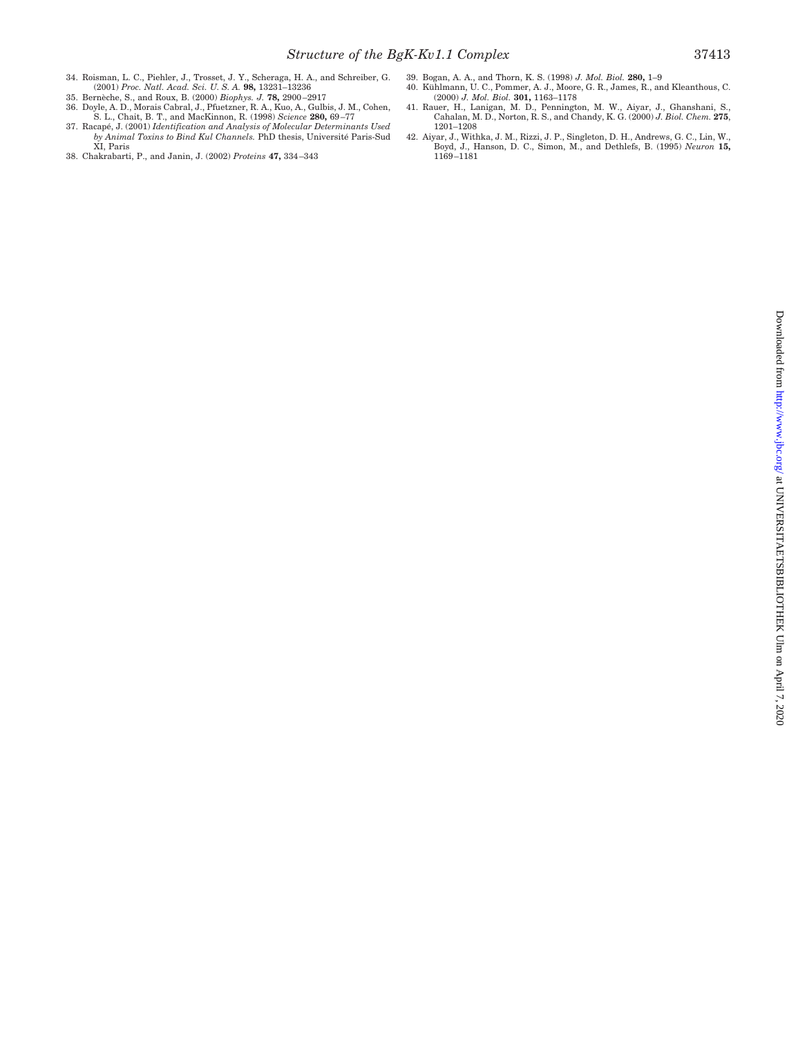- 34. Roisman, L. C., Piehler, J., Trosset, J. Y., Scheraga, H. A., and Schreiber, G.<br>(2001) *Proc. Natl. Acad. Sci. U. S. A.* **98,** 13231–13236<br>35. Bernèche, S., and Roux, B. (2000) *Biophys. J.* **78,** 2900–2917
- 
- 36. Doyle, A. D., Morais Cabral, J., Pfuetzner, R. A., Kuo, A., Gulbis, J. M., Cohen, S. L., Chait, B. T., and MacKinnon, R. (1998) *Science* **280,** 69–77
- 37. Racape´, J. (2001) *Identification and Analysis of Molecular Determinants Used by Animal Toxins to Bind Kul Channels.* PhD thesis, Université Paris-Sud<br>XI, Paris
- 38. Chakrabarti, P., and Janin, J. (2002) *Proteins* **47,** 334–343
- 
- 39. Bogan, A. A., and Thorn, K. S. (1998) *J. Mol. Biol.* **280,** 1–9<br>40. Kühlmann, U. C., Pommer, A. J., Moore, G. R., James, R., and Kleanthous, C. (2000) *J. Mol. Biol.* **301,** 1163–1178
- 41. Rauer, H., Lanigan, M. D., Pennington, M. W., Aiyar, J., Ghanshani, S., Cahalan, M. D., Norton, R. S., and Chandy, K. G. (2000) *J. Biol. Chem.* **275**, 1201–1208
- 42. Aiyar, J., Withka, J. M., Rizzi, J. P., Singleton, D. H., Andrews, G. C., Lin, W., Boyd, J., Hanson, D. C., Simon, M., and Dethlefs, B. (1995) *Neuron* **15,** 1169–1181